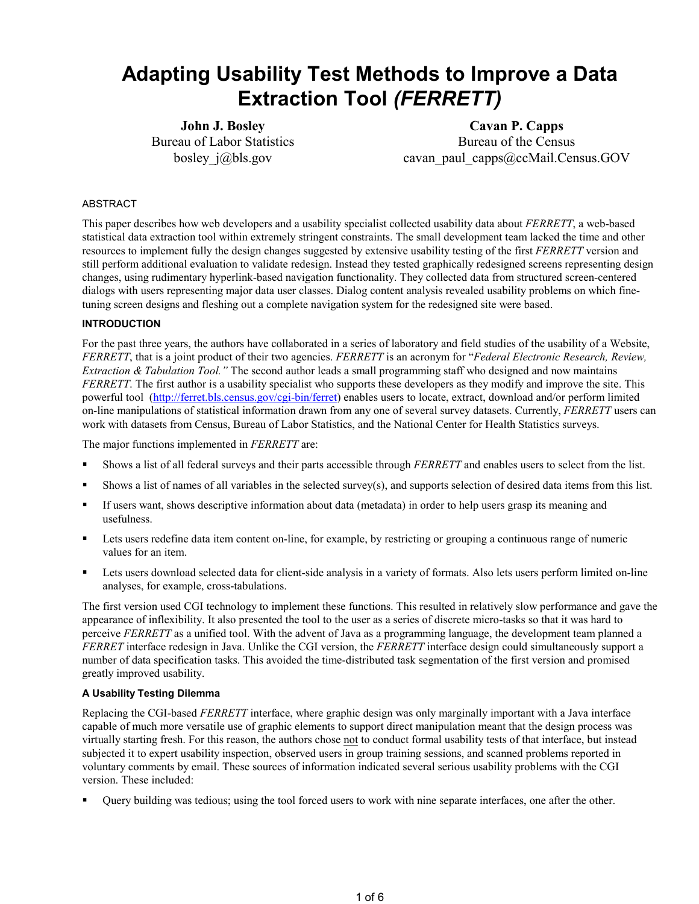# **Adapting Usability Test Methods to Improve a Data Extraction Tool** *(FERRETT)*

**John J. Bosley**  Bureau of Labor Statistics bosley j@bls.gov

**Cavan P. Capps**  Bureau of the Census cavan\_paul\_capps@ccMail.Census.GOV

## ABSTRACT

This paper describes how web developers and a usability specialist collected usability data about *FERRETT*, a web-based statistical data extraction tool within extremely stringent constraints. The small development team lacked the time and other resources to implement fully the design changes suggested by extensive usability testing of the first *FERRETT* version and still perform additional evaluation to validate redesign. Instead they tested graphically redesigned screens representing design changes, using rudimentary hyperlink-based navigation functionality. They collected data from structured screen-centered dialogs with users representing major data user classes. Dialog content analysis revealed usability problems on which finetuning screen designs and fleshing out a complete navigation system for the redesigned site were based.

## **INTRODUCTION**

For the past three years, the authors have collaborated in a series of laboratory and field studies of the usability of a Website, *FERRETT*, that is a joint product of their two agencies. *FERRETT* is an acronym for "*Federal Electronic Research, Review, Extraction & Tabulation Tool."* The second author leads a small programming staff who designed and now maintains *FERRETT*. The first author is a usability specialist who supports these developers as they modify and improve the site. This powerful tool (http://ferret.bls.census.gov/cgi-bin/ferret) enables users to locate, extract, download and/or perform limited on-line manipulations of statistical information drawn from any one of several survey datasets. Currently, *FERRETT* users can work with datasets from Census, Bureau of Labor Statistics, and the National Center for Health Statistics surveys.

The major functions implemented in *FERRETT* are:

- Shows a list of all federal surveys and their parts accessible through *FERRETT* and enables users to select from the list.
- Shows a list of names of all variables in the selected survey(s), and supports selection of desired data items from this list.
- If users want, shows descriptive information about data (metadata) in order to help users grasp its meaning and usefulness.
- Lets users redefine data item content on-line, for example, by restricting or grouping a continuous range of numeric values for an item.
- Lets users download selected data for client-side analysis in a variety of formats. Also lets users perform limited on-line analyses, for example, cross-tabulations.

The first version used CGI technology to implement these functions. This resulted in relatively slow performance and gave the appearance of inflexibility. It also presented the tool to the user as a series of discrete micro-tasks so that it was hard to perceive *FERRETT* as a unified tool. With the advent of Java as a programming language, the development team planned a *FERRET* interface redesign in Java. Unlike the CGI version, the *FERRETT* interface design could simultaneously support a number of data specification tasks. This avoided the time-distributed task segmentation of the first version and promised greatly improved usability.

#### **A Usability Testing Dilemma**

Replacing the CGI-based *FERRETT* interface, where graphic design was only marginally important with a Java interface capable of much more versatile use of graphic elements to support direct manipulation meant that the design process was virtually starting fresh. For this reason, the authors chose not to conduct formal usability tests of that interface, but instead subjected it to expert usability inspection, observed users in group training sessions, and scanned problems reported in voluntary comments by email. These sources of information indicated several serious usability problems with the CGI version. These included:

Query building was tedious; using the tool forced users to work with nine separate interfaces, one after the other.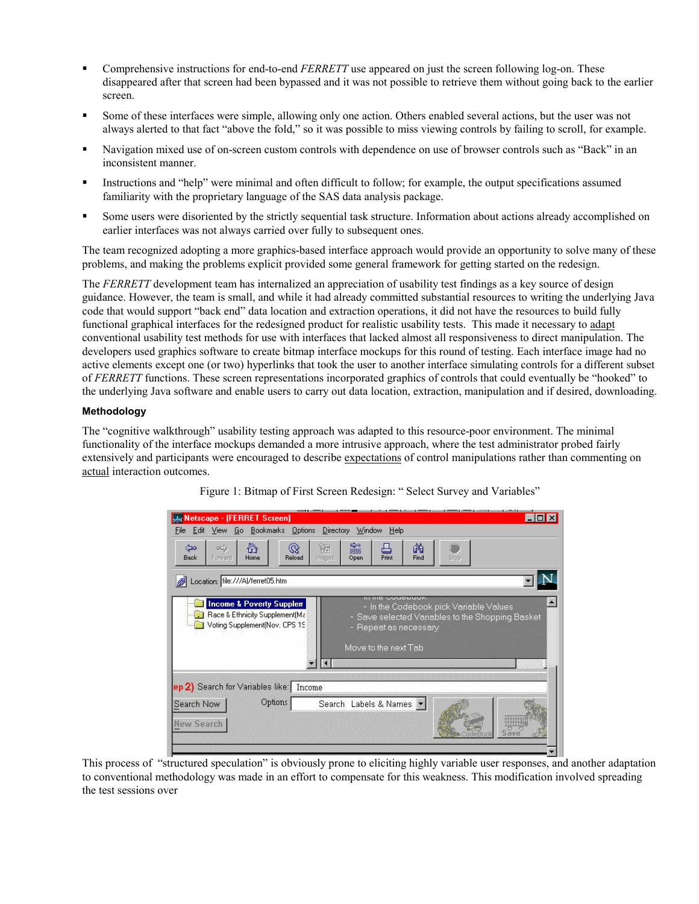- Comprehensive instructions for end-to-end *FERRETT* use appeared on just the screen following log-on. These disappeared after that screen had been bypassed and it was not possible to retrieve them without going back to the earlier screen.
- Some of these interfaces were simple, allowing only one action. Others enabled several actions, but the user was not always alerted to that fact "above the fold," so it was possible to miss viewing controls by failing to scroll, for example.
- Navigation mixed use of on-screen custom controls with dependence on use of browser controls such as "Back" in an inconsistent manner.
- Instructions and "help" were minimal and often difficult to follow; for example, the output specifications assumed familiarity with the proprietary language of the SAS data analysis package.
- Some users were disoriented by the strictly sequential task structure. Information about actions already accomplished on earlier interfaces was not always carried over fully to subsequent ones.

The team recognized adopting a more graphics-based interface approach would provide an opportunity to solve many of these problems, and making the problems explicit provided some general framework for getting started on the redesign.

The *FERRETT* development team has internalized an appreciation of usability test findings as a key source of design guidance. However, the team is small, and while it had already committed substantial resources to writing the underlying Java code that would support "back end" data location and extraction operations, it did not have the resources to build fully functional graphical interfaces for the redesigned product for realistic usability tests. This made it necessary to adapt conventional usability test methods for use with interfaces that lacked almost all responsiveness to direct manipulation. The developers used graphics software to create bitmap interface mockups for this round of testing. Each interface image had no active elements except one (or two) hyperlinks that took the user to another interface simulating controls for a different subset of *FERRETT* functions. These screen representations incorporated graphics of controls that could eventually be "hooked" to the underlying Java software and enable users to carry out data location, extraction, manipulation and if desired, downloading.

### **Methodology**

The "cognitive walkthrough" usability testing approach was adapted to this resource-poor environment. The minimal functionality of the interface mockups demanded a more intrusive approach, where the test administrator probed fairly extensively and participants were encouraged to describe expectations of control manipulations rather than commenting on actual interaction outcomes.



Figure 1: Bitmap of First Screen Redesign: " Select Survey and Variables"

This process of "structured speculation" is obviously prone to eliciting highly variable user responses, and another adaptation to conventional methodology was made in an effort to compensate for this weakness. This modification involved spreading the test sessions over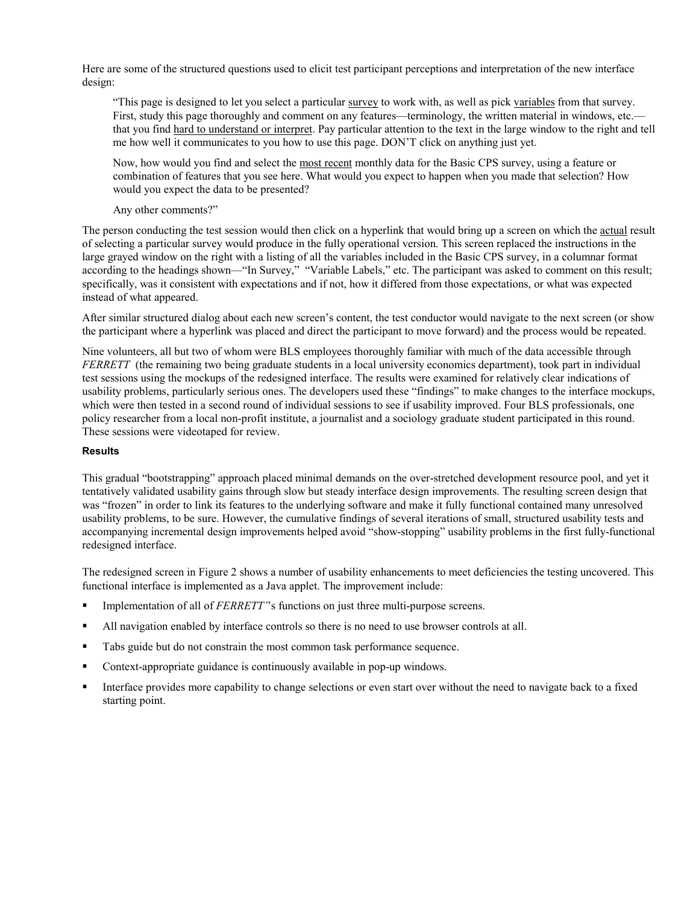Here are some of the structured questions used to elicit test participant perceptions and interpretation of the new interface design:

"This page is designed to let you select a particular survey to work with, as well as pick variables from that survey. First, study this page thoroughly and comment on any features—terminology, the written material in windows, etc. that you find hard to understand or interpret. Pay particular attention to the text in the large window to the right and tell me how well it communicates to you how to use this page. DON'T click on anything just yet.

Now, how would you find and select the most recent monthly data for the Basic CPS survey, using a feature or combination of features that you see here. What would you expect to happen when you made that selection? How would you expect the data to be presented?

Any other comments?"

The person conducting the test session would then click on a hyperlink that would bring up a screen on which the actual result of selecting a particular survey would produce in the fully operational version. This screen replaced the instructions in the large grayed window on the right with a listing of all the variables included in the Basic CPS survey, in a columnar format according to the headings shown—"In Survey," "Variable Labels," etc. The participant was asked to comment on this result; specifically, was it consistent with expectations and if not, how it differed from those expectations, or what was expected instead of what appeared.

After similar structured dialog about each new screen's content, the test conductor would navigate to the next screen (or show the participant where a hyperlink was placed and direct the participant to move forward) and the process would be repeated.

Nine volunteers, all but two of whom were BLS employees thoroughly familiar with much of the data accessible through *FERRETT* (the remaining two being graduate students in a local university economics department), took part in individual test sessions using the mockups of the redesigned interface. The results were examined for relatively clear indications of usability problems, particularly serious ones. The developers used these "findings" to make changes to the interface mockups, which were then tested in a second round of individual sessions to see if usability improved. Four BLS professionals, one policy researcher from a local non-profit institute, a journalist and a sociology graduate student participated in this round. These sessions were videotaped for review.

## **Results**

This gradual "bootstrapping" approach placed minimal demands on the over-stretched development resource pool, and yet it tentatively validated usability gains through slow but steady interface design improvements. The resulting screen design that was "frozen" in order to link its features to the underlying software and make it fully functional contained many unresolved usability problems, to be sure. However, the cumulative findings of several iterations of small, structured usability tests and accompanying incremental design improvements helped avoid "show-stopping" usability problems in the first fully-functional redesigned interface.

The redesigned screen in Figure 2 shows a number of usability enhancements to meet deficiencies the testing uncovered. This functional interface is implemented as a Java applet. The improvement include:

- Implementation of all of *FERRETT'*'s functions on just three multi-purpose screens.
- All navigation enabled by interface controls so there is no need to use browser controls at all.
- Tabs guide but do not constrain the most common task performance sequence.
- Context-appropriate guidance is continuously available in pop-up windows.
- Interface provides more capability to change selections or even start over without the need to navigate back to a fixed starting point.